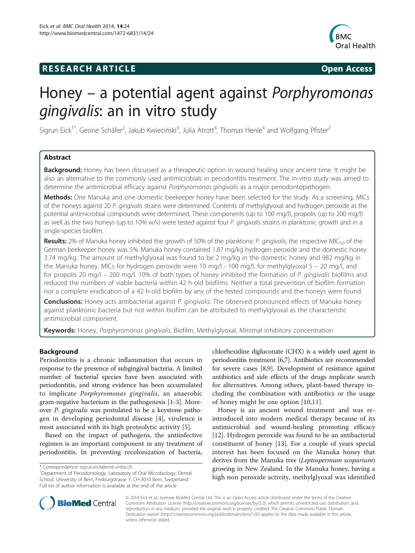## **RESEARCH ARTICLE Example 2014 CONSIDERING CONSIDERING CONSIDERING CONSIDERING CONSIDERING CONSIDERING CONSIDERING CONSIDERING CONSIDERING CONSIDERING CONSIDERING CONSIDERING CONSIDERING CONSIDERING CONSIDERING CONSIDE**



# Honey – a potential agent against Porphyromonas gingivalis: an in vitro study

Sigrun Eick<sup>1\*</sup>, Gesine Schäfer<sup>2</sup>, Jakub Kwieciński<sup>3</sup>, Julia Atrott<sup>4</sup>, Thomas Henle<sup>4</sup> and Wolfgang Pfister<sup>2</sup>

## Abstract

Background: Honey has been discussed as a therapeutic option in wound healing since ancient time. It might be also an alternative to the commonly used antimicrobials in periodontitis treatment. The in-vitro study was aimed to determine the antimicrobial efficacy against Porphyromonas gingivalis as a major periodontopathogen.

Methods: One Manuka and one domestic beekeeper honey have been selected for the study. As a screening, MICs of the honeys against 20 P. gingivalis strains were determined. Contents of methylglyoxal and hydrogen peroxide as the potential antimicrobial compounds were determined. These components (up to 100 mg/l), propolis (up to 200 mg/l) as well as the two honeys (up to 10% w/v) were tested against four P. gingivalis strains in planktonic growth and in a single-species biofilm.

Results: 2% of Manuka honey inhibited the growth of 50% of the planktonic P. gingivalis, the respective MIC<sub>50</sub> of the German beekeeper honey was 5%. Manuka honey contained 1.87 mg/kg hydrogen peroxide and the domestic honey 3.74 mg/kg. The amount of methylglyoxal was found to be 2 mg/kg in the domestic honey and 982 mg/kg in the Manuka honey. MICs for hydrogen peroxide were 10 mg/l - 100 mg/l, for methylglyoxal 5 – 20 mg/l, and for propolis 20 mg/l – 200 mg/l. 10% of both types of honey inhibited the formation of P. gingivalis biofilms and reduced the numbers of viable bacteria within 42 h-old biofilms. Neither a total prevention of biofilm formation nor a complete eradication of a 42 h-old biofilm by any of the tested compounds and the honeys were found.

Conclusions: Honey acts antibacterial against P. gingivalis. The observed pronounced effects of Manuka honey against planktonic bacteria but not within biofilm can be attributed to methylglyoxal as the characteristic antimicrobial component.

Keywords: Honey, Porphyromonas gingivalis, Biofilm, Methylglyoxal, Minimal inhibitory concentration

## Background

Periodontitis is a chronic inflammation that occurs in response to the presence of subgingival bacteria. A limited number of bacterial species have been associated with periodontitis, and strong evidence has been accumulated to implicate Porphyromonas gingivalis, an anaerobic gram-negative bacterium in the pathogenesis [[1-3\]](#page-7-0). Moreover P. gingivalis was postulated to be a keystone pathogen in developing periodontal disease [[4\]](#page-7-0), virulence is most associated with its high proteolytic activity [[5\]](#page-7-0).

Based on the impact of pathogens, the antiinfective regimen is an important component in any treatment of periodontitis. In preventing recolonization of bacteria,

chlorhexidine digluconate (CHX) is a widely used agent in periodontitis treatment [[6,7](#page-7-0)]. Antibiotics are recommended for severe cases [[8,9\]](#page-7-0). Development of resistance against antibiotics and side effects of the drugs implicate search for alternatives. Among others, plant-based therapy including the combination with antibiotics or the usage of honey might be one option [[10,11\]](#page-7-0).

Honey is an ancient wound treatment and was reintroduced into modern medical therapy because of its antimicrobial and wound-healing promoting efficacy [[12\]](#page-7-0). Hydrogen peroxide was found to be an antibacterial constituent of honey [\[13](#page-7-0)]. For a couple of years special interest has been focused on the Manuka honey that derives from the Manuka tree (Leptospermum scoparium) growing in New Zealand. In the Manuka honey, having a high non peroxide activity, methylglyoxal was identified



© 2014 Eick et al.; licensee BioMed Central Ltd. This is an Open Access article distributed under the terms of the Creative Commons Attribution License [\(http://creativecommons.org/licenses/by/2.0\)](http://creativecommons.org/licenses/by/2.0), which permits unrestricted use, distribution, and reproduction in any medium, provided the original work is properly credited. The Creative Commons Public Domain Dedication waiver [\(http://creativecommons.org/publicdomain/zero/1.0/](http://creativecommons.org/publicdomain/zero/1.0/)) applies to the data made available in this article, unless otherwise stated.

<sup>\*</sup> Correspondence: [sigrun.eick@zmk.unibe.ch](mailto:sigrun.eick@zmk.unibe.ch) <sup>1</sup>

<sup>&</sup>lt;sup>1</sup>Department of Periodontology, Laboratory of Oral Microbiology, Dental School, University of Bern, Freiburgstrasse 7, CH-3010 Bern, Switzerland Full list of author information is available at the end of the article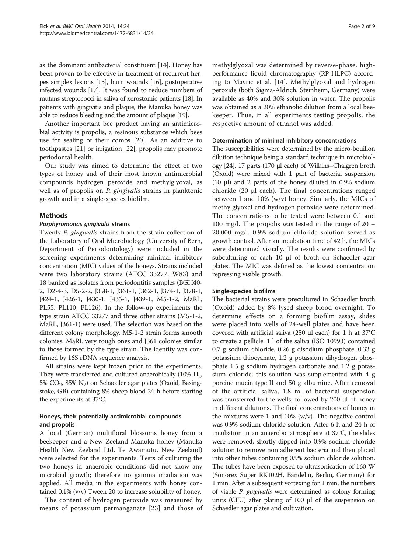as the dominant antibacterial constituent [\[14](#page-7-0)]. Honey has been proven to be effective in treatment of recurrent herpes simplex lesions [[15](#page-7-0)], burn wounds [[16\]](#page-7-0), postoperative infected wounds [\[17](#page-7-0)]. It was found to reduce numbers of mutans streptococci in saliva of xerostomic patients [\[18](#page-7-0)]. In patients with gingivitis and plaque, the Manuka honey was able to reduce bleeding and the amount of plaque [\[19](#page-7-0)].

Another important bee product having an antimicrobial activity is propolis, a resinous substance which bees use for sealing of their combs [\[20](#page-7-0)]. As an additive to toothpastes [[21](#page-7-0)] or irrigation [\[22](#page-7-0)], propolis may promote periodontal health.

Our study was aimed to determine the effect of two types of honey and of their most known antimicrobial compounds hydrogen peroxide and methylglyoxal, as well as of propolis on *P. gingivalis* strains in planktonic growth and in a single-species biofilm.

## Methods

## Porphyromonas gingivalis strains

Twenty P. gingivalis strains from the strain collection of the Laboratory of Oral Microbiology (University of Bern, Department of Periodontology) were included in the screening experiments determining minimal inhibitory concentration (MIC) values of the honeys. Strains included were two laboratory strains (ATCC 33277, W83) and 18 banked as isolates from periodontitis samples (BGH40- 2, D2-4-3, D5-2-2, J358-1, J361-1, J362-1, J374-1, J378-1, J424-1, J426-1, J430-1, J435-1, J439-1, M5-1-2, MaRL, PL55, PL110, PL126). In the follow-up experiments the type strain ATCC 33277 and three other strains (M5-1-2, MaRL, J361-1) were used. The selection was based on the different colony morphology. M5-1-2 strain forms smooth colonies, MaRL very rough ones and J361 colonies similar to those formed by the type strain. The identity was confirmed by 16S rDNA sequence analysis.

All strains were kept frozen prior to the experiments. They were transferred and cultured anaerobically  $(10\% \; H_2)$ , 5%  $CO<sub>2</sub>$ , 85% N<sub>2</sub>) on Schaedler agar plates (Oxoid, Basingstoke, GB) containing 8% sheep blood 24 h before starting the experiments at 37°C.

## Honeys, their potentially antimicrobial compounds and propolis

A local (German) multifloral blossoms honey from a beekeeper and a New Zeeland Manuka honey (Manuka Health New Zeeland Ltd, Te Awamutu, New Zeeland) were selected for the experiments. Tests of culturing the two honeys in anaerobic conditions did not show any microbial growth; therefore no gamma irradiation was applied. All media in the experiments with honey contained 0.1% (v/v) Tween 20 to increase solubility of honey.

The content of hydrogen peroxide was measured by means of potassium permanganate [[23](#page-7-0)] and those of

methylglyoxal was determined by reverse-phase, highperformance liquid chromatography (RP-HLPC) according to Mavric et al. [\[14](#page-7-0)]. Methylglyoxal and hydrogen peroxide (both Sigma-Aldrich, Steinheim, Germany) were available as 40% and 30% solution in water. The propolis was obtained as a 20% ethanolic dilution from a local beekeeper. Thus, in all experiments testing propolis, the respective amount of ethanol was added.

## Determination of minimal inhibitory concentrations

The susceptibilities were determined by the micro-bouillon dilution technique being a standard technique in microbiology [\[24\]](#page-7-0). 17 parts (170 μl each) of Wilkins–Chalgren broth (Oxoid) were mixed with 1 part of bacterial suspension (10 μl) and 2 parts of the honey diluted in 0.9% sodium chloride (20 μl each). The final concentrations ranged between 1 and 10% (w/v) honey. Similarly, the MICs of methylglyoxal and hydrogen peroxide were determined. The concentrations to be tested were between 0.1 and 100 mg/l. The propolis was tested in the range of 20 – 20,000 mg/l. 0.9% sodium chloride solution served as growth control. After an incubation time of 42 h, the MICs were determined visually. The results were confirmed by subculturing of each 10 μl of broth on Schaedler agar plates. The MIC was defined as the lowest concentration repressing visible growth.

## Single-species biofilms

The bacterial strains were precultured in Schaedler broth (Oxoid) added by 8% lysed sheep blood overnight. To determine effects on a forming biofilm assay, slides were placed into wells of 24-well plates and have been covered with artificial saliva (250 μl each) for 1 h at 37°C to create a pellicle. 1 l of the saliva (ISO 10993) contained 0.7 g sodium chloride, 0.26 g disodium phosphate, 0.33 g potassium thiocyanate, 1.2 g potassium dihydrogen phosphate 1.5 g sodium hydrogen carbonate and 1.2 g potassium chloride; this solution was supplemented with 4 g porcine mucin type II and 50 g albumine. After removal of the artificial saliva, 1.8 ml of bacterial suspension was transferred to the wells, followed by 200 μl of honey in different dilutions. The final concentrations of honey in the mixtures were 1 and 10% ( $w/v$ ). The negative control was 0.9% sodium chloride solution. After 6 h and 24 h of incubation in an anaerobic atmosphere at 37°C, the slides were removed, shortly dipped into 0.9% sodium chloride solution to remove non adherent bacteria and then placed into other tubes containing 0.9% sodium chloride solution. The tubes have been exposed to ultrasonication of 160 W (Sonorex Super RK102H, Bandelin, Berlin, Germany) for 1 min. After a subsequent vortexing for 1 min, the numbers of viable P. gingivalis were determined as colony forming units (CFU) after plating of 100 μl of the suspension on Schaedler agar plates and cultivation.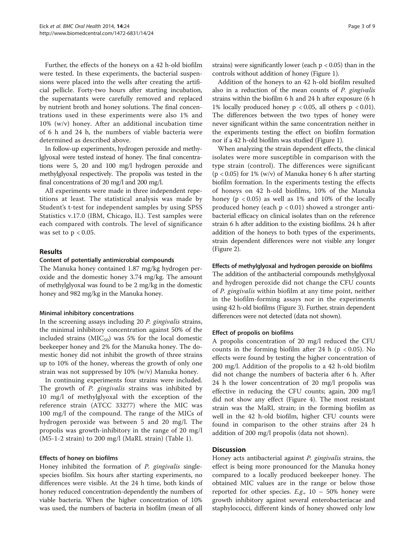Further, the effects of the honeys on a 42 h-old biofilm were tested. In these experiments, the bacterial suspensions were placed into the wells after creating the artificial pellicle. Forty-two hours after starting incubation, the supernatants were carefully removed and replaced by nutrient broth and honey solutions. The final concentrations used in these experiments were also 1% and 10% (w/v) honey. After an additional incubation time of 6 h and 24 h, the numbers of viable bacteria were determined as described above.

In follow-up experiments, hydrogen peroxide and methylglyoxal were tested instead of honey. The final concentrations were 5, 20 and 100 mg/l hydrogen peroxide and methylglyoxal respectively. The propolis was tested in the final concentrations of 20 mg/l and 200 mg/l.

All experiments were made in three independent repetitions at least. The statistical analysis was made by Student's t-test for independent samples by using SPSS Statistics v.17.0 (IBM, Chicago, IL). Test samples were each compared with controls. The level of significance was set to  $p < 0.05$ .

## Results

#### Content of potentially antimicrobial compounds

The Manuka honey contained 1.87 mg/kg hydrogen peroxide and the domestic honey 3.74 mg/kg. The amount of methylglyoxal was found to be 2 mg/kg in the domestic honey and 982 mg/kg in the Manuka honey.

#### Minimal inhibitory concentrations

In the screening assays including 20 P. gingivalis strains, the minimal inhibitory concentration against 50% of the included strains ( $MIC_{50}$ ) was 5% for the local domestic beekeeper honey and 2% for the Manuka honey. The domestic honey did not inhibit the growth of three strains up to 10% of the honey, whereas the growth of only one strain was not suppressed by 10% (w/v) Manuka honey.

In continuing experiments four strains were included. The growth of P. gingivalis strains was inhibited by 10 mg/l of methylglyoxal with the exception of the reference strain (ATCC 33277) where the MIC was 100 mg/l of the compound. The range of the MICs of hydrogen peroxide was between 5 and 20 mg/l. The propolis was growth-inhibitory in the range of 20 mg/l (M5-1-2 strain) to 200 mg/l (MaRL strain) (Table [1\)](#page-3-0).

#### Effects of honey on biofilms

Honey inhibited the formation of P. gingivalis singlespecies biofilm. Six hours after starting experiments, no differences were visible. At the 24 h time, both kinds of honey reduced concentration-dependently the numbers of viable bacteria. When the higher concentration of 10% was used, the numbers of bacteria in biofilm (mean of all

strains) were significantly lower (each  $p < 0.05$ ) than in the controls without addition of honey (Figure [1\)](#page-3-0).

Addition of the honeys to an 42 h-old biofilm resulted also in a reduction of the mean counts of P. gingivalis strains within the biofilm 6 h and 24 h after exposure (6 h 1% locally produced honey  $p < 0.05$ , all others  $p < 0.01$ ). The differences between the two types of honey were never significant within the same concentration neither in the experiments testing the effect on biofilm formation nor if a 42 h-old biofilm was studied (Figure [1](#page-3-0)).

When analyzing the strain dependent effects, the clinical isolates were more susceptible in comparison with the type strain (control). The differences were significant  $(p < 0.05)$  for 1% (w/v) of Manuka honey 6 h after starting biofilm formation. In the experiments testing the effects of honeys on 42 h-old biofilms, 10% of the Manuka honey ( $p < 0.05$ ) as well as 1% and 10% of the locally produced honey (each  $p < 0.01$ ) showed a stronger antibacterial efficacy on clinical isolates than on the reference strain 6 h after addition to the existing biofilms. 24 h after addition of the honeys to both types of the experiments, strain dependent differences were not visible any longer (Figure [2](#page-4-0)).

#### Effects of methylglyoxal and hydrogen peroxide on biofilms

The addition of the antibacterial compounds methylglyoxal and hydrogen peroxide did not change the CFU counts of P. gingivalis within biofilm at any time point, neither in the biofilm-forming assays nor in the experiments using 42 h-old biofilms (Figure [3](#page-5-0)). Further, strain dependent differences were not detected (data not shown).

#### Effect of propolis on biofilms

A propolis concentration of 20 mg/l reduced the CFU counts in the forming biofilm after 24 h ( $p < 0.05$ ). No effects were found by testing the higher concentration of 200 mg/l. Addition of the propolis to a 42 h-old biofilm did not change the numbers of bacteria after 6 h. After 24 h the lower concentration of 20 mg/l propolis was effective in reducing the CFU counts; again, 200 mg/l did not show any effect (Figure [4](#page-6-0)). The most resistant strain was the MaRL strain; in the forming biofilm as well in the 42 h-old biofilm, higher CFU counts were found in comparison to the other strains after 24 h addition of 200 mg/l propolis (data not shown).

## **Discussion**

Honey acts antibacterial against P. gingivalis strains, the effect is being more pronounced for the Manuka honey compared to a locally produced beekeeper honey. The obtained MIC values are in the range or below those reported for other species.  $E.g., 10 - 50\%$  honey were growth inhibitory against several enterobacteriacae and staphylococci, different kinds of honey showed only low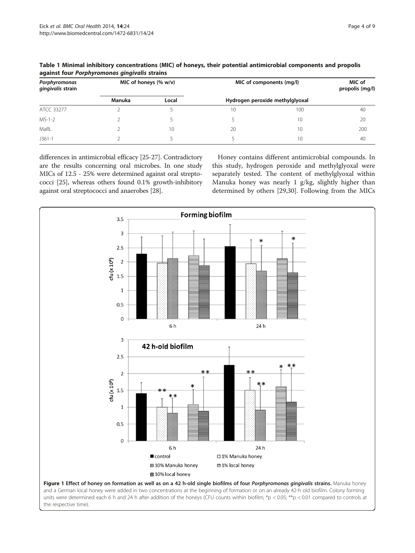| Porphyromonas<br>gingivalis strain | MIC of honeys $(% \mathbf{w}$ w/v) |       | MIC of components (mg/l) |                                 | MIC of<br>propolis (mg/l) |
|------------------------------------|------------------------------------|-------|--------------------------|---------------------------------|---------------------------|
|                                    | Manuka                             | Local |                          | Hydrogen peroxide methylglyoxal |                           |
| ATCC 33277                         |                                    |       | 10                       | 100                             | 40                        |
| $M5-1-2$                           |                                    |       |                          | 10                              | 20                        |
| MaRL                               |                                    | 10    | 20                       | 10                              | 200                       |
| $J361-1$                           |                                    |       |                          | 10                              | 40                        |

<span id="page-3-0"></span>Table 1 Minimal inhibitory concentrations (MIC) of honeys, their potential antimicrobial components and propolis against four Porphyromonas gingivalis strains

differences in antimicrobial efficacy [\[25-27\]](#page-7-0). Contradictory are the results concerning oral microbes. In one study MICs of 12.5 - 25% were determined against oral streptococci [\[25](#page-7-0)], whereas others found 0.1% growth-inhibitory against oral streptococci and anaerobes [[28](#page-7-0)].

Honey contains different antimicrobial compounds. In this study, hydrogen peroxide and methylglyoxal were separately tested. The content of methylglyoxal within Manuka honey was nearly 1 g/kg, slightly higher than determined by others [[29,](#page-7-0)[30\]](#page-8-0). Following from the MICs



units were determined each 6 h and 24 h after addition of the honeys (CFU counts within biofilm; \*p < 0.05; \*\*p < 0.01 compared to controls at the respective time).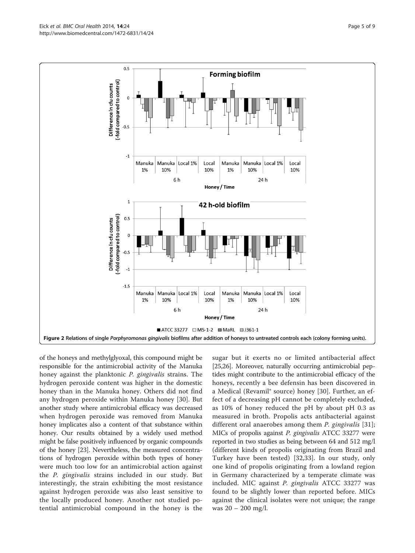<span id="page-4-0"></span>

of the honeys and methylglyoxal, this compound might be responsible for the antimicrobial activity of the Manuka honey against the planktonic P. gingivalis strains. The hydrogen peroxide content was higher in the domestic honey than in the Manuka honey. Others did not find any hydrogen peroxide within Manuka honey [[30\]](#page-8-0). But another study where antimicrobial efficacy was decreased when hydrogen peroxide was removed from Manuka honey implicates also a content of that substance within honey. Our results obtained by a widely used method might be false positively influenced by organic compounds of the honey [[23](#page-7-0)]. Nevertheless, the measured concentrations of hydrogen peroxide within both types of honey were much too low for an antimicrobial action against the P. gingivalis strains included in our study. But interestingly, the strain exhibiting the most resistance against hydrogen peroxide was also least sensitive to the locally produced honey. Another not studied potential antimicrobial compound in the honey is the sugar but it exerts no or limited antibacterial affect [[25,26](#page-7-0)]. Moreover, naturally occurring antimicrobial peptides might contribute to the antimicrobial efficacy of the honeys, recently a bee defensin has been discovered in a Medical (Revamil® source) honey [[30\]](#page-8-0). Further, an effect of a decreasing pH cannot be completely excluded, as 10% of honey reduced the pH by about pH 0.3 as measured in broth. Propolis acts antibacterial against different oral anaerobes among them *P. gingivalis* [[31](#page-8-0)]; MICs of propolis against P. gingivalis ATCC 33277 were reported in two studies as being between 64 and 512 mg/l (different kinds of propolis originating from Brazil and Turkey have been tested) [[32,33](#page-8-0)]. In our study, only one kind of propolis originating from a lowland region in Germany characterized by a temperate climate was included. MIC against P. gingivalis ATCC 33277 was found to be slightly lower than reported before. MICs against the clinical isolates were not unique; the range was 20 – 200 mg/l.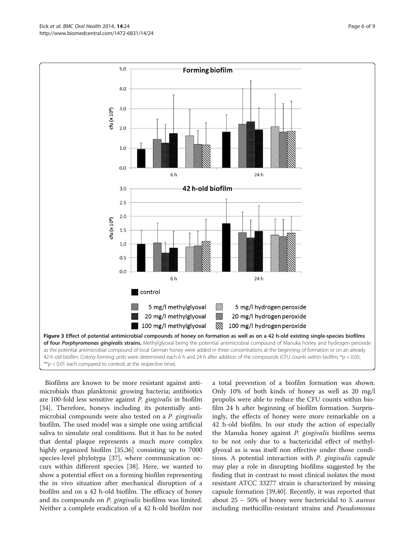<span id="page-5-0"></span>Eick *et al. BMC Oral Health 2*014, **14**:24<br>http://www.biomedcentral.com/1472-6831/14/24



Biofilms are known to be more resistant against antimicrobials than planktonic growing bacteria; antibiotics are 100-fold less sensitive against P. gingivalis in biofilm [[34\]](#page-8-0). Therefore, honeys including its potentially antimicrobial compounds were also tested on a P. gingivalis biofilm. The used model was a simple one using artificial saliva to simulate oral conditions. But it has to be noted that dental plaque represents a much more complex highly organized biofilm [\[35,36](#page-8-0)] consisting up to 7000 species-level phylotypa [[37](#page-8-0)], where communication occurs within different species [\[38](#page-8-0)]. Here, we wanted to show a potential effect on a forming biofilm representing the in vivo situation after mechanical disruption of a biofilm and on a 42 h-old biofilm. The efficacy of honey and its compounds on *P. gingivalis* biofilms was limited. Neither a complete eradication of a 42 h-old biofilm nor a total prevention of a biofilm formation was shown. Only 10% of both kinds of honey as well as 20 mg/l propolis were able to reduce the CFU counts within biofilm 24 h after beginning of biofilm formation. Surprisingly, the effects of honey were more remarkable on a 42 h-old biofilm. In our study the action of especially the Manuka honey against P. gingivalis biofilms seems to be not only due to a bactericidal effect of methylglyoxal as is was itself non effective under those conditions. A potential interaction with P. gingivalis capsule may play a role in disrupting biofilms suggested by the finding that in contrast to most clinical isolates the most resistant ATCC 33277 strain is characterized by missing capsule formation [\[39,40](#page-8-0)]. Recently, it was reported that about  $25 - 50\%$  of honey were bactericidal to S. *aureus* including methicillin-resistant strains and Pseudomonas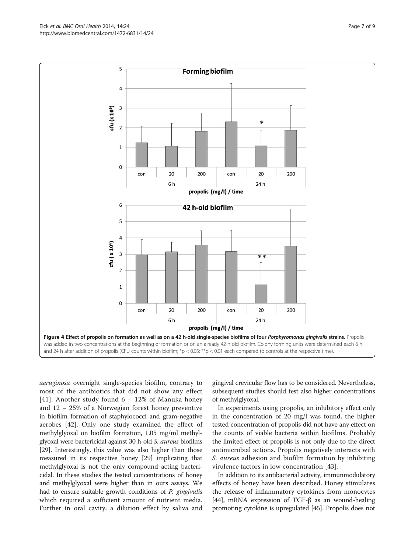aeruginosa overnight single-species biofilm, contrary to most of the antibiotics that did not show any effect [[41](#page-8-0)]. Another study found  $6 - 12\%$  of Manuka honey and 12 – 25% of a Norwegian forest honey preventive in biofilm formation of staphylococci and gram-negative aerobes [[42\]](#page-8-0). Only one study examined the effect of methylglyoxal on biofilm formation, 1.05 mg/ml methylglyoxal were bactericidal against 30 h-old S. aureus biofilms [[29](#page-7-0)]. Interestingly, this value was also higher than those measured in its respective honey [[29](#page-7-0)] implicating that methylglyoxal is not the only compound acting bactericidal. In these studies the tested concentrations of honey and methylglyoxal were higher than in ours assays. We had to ensure suitable growth conditions of P. gingivalis which required a sufficient amount of nutrient media. Further in oral cavity, a dilution effect by saliva and

gingival crevicular flow has to be considered. Nevertheless, subsequent studies should test also higher concentrations of methylglyoxal.

In experiments using propolis, an inhibitory effect only in the concentration of 20 mg/l was found, the higher tested concentration of propolis did not have any effect on the counts of viable bacteria within biofilms. Probably the limited effect of propolis is not only due to the direct antimicrobial actions. Propolis negatively interacts with S. *aureus* adhesion and biofilm formation by inhibiting virulence factors in low concentration [[43\]](#page-8-0).

In addition to its antibacterial activity, immunmodulatory effects of honey have been described. Honey stimulates the release of inflammatory cytokines from monocytes [[44](#page-8-0)], mRNA expression of TGF-β as an wound-healing promoting cytokine is upregulated [[45](#page-8-0)]. Propolis does not

<span id="page-6-0"></span>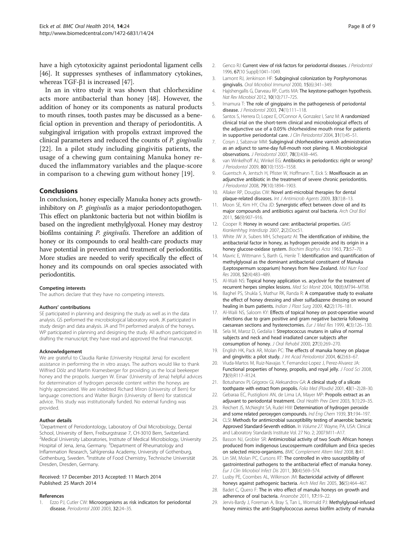<span id="page-7-0"></span>have a high cytotoxicity against periodontal ligament cells [[46](#page-8-0)]. It suppresses syntheses of inflammatory cytokines, whereas TGF-β1 is increased [[47](#page-8-0)].

In an in vitro study it was shown that chlorhexidine acts more antibacterial than honey [[48\]](#page-8-0). However, the addition of honey or its components as natural products to mouth rinses, tooth pastes may be discussed as a beneficial option in prevention and therapy of periodontitis. A subgingival irrigation with propolis extraxt improved the clinical parameters and reduced the counts of P. gingivalis [22]. In a pilot study including gingivitis patients, the usage of a chewing gum containing Manuka honey reduced the inflammatory variables and the plaque-score in comparison to a chewing gum without honey [19].

#### Conclusions

In conclusion, honey especially Manuka honey acts growthinhibitory on *P. gingivalis* as a major periodontopathogen. This effect on planktonic bacteria but not within biofilm is based on the ingredient methylglyoxal. Honey may destroy biofilms containing P. gingivalis. Therefore an addition of honey or its compounds to oral health-care products may have potential in prevention and treatment of periodontitis. More studies are needed to verify specifically the effect of honey and its compounds on oral species associated with periodontitis.

#### Competing interests

The authors declare that they have no competing interests.

#### Authors' contributions

SE participated in planning and designing the study as well as in the data analysis. GS performed the microbiological laboratory work. JK participated in study design and data analysis. JA and TH performed analysis of the honeys. WP participated in planning and designing the study. All authors participated in drafting the manuscript; they have read and approved the final manuscript.

#### Acknowledgement

We are grateful to Claudia Ranke (University Hospital Jena) for excellent assistance in performing the in vitro assays. The authors would like to thank Wilfried Dölz and Martin Kramesberger for providing us the local beekeeper honey and the propolis. Juergen W. Einax' (University of Jena) helpful advices for determination of hydrogen peroxide content within the honeys are highly appreciated. We are indebted Richard Miron (University of Bern) for language corrections and Walter Bürgin (University of Bern) for statistical advice. This study was institutionally funded. No external funding was provided.

#### Author details

<sup>1</sup>Department of Periodontology, Laboratory of Oral Microbiology, Dental School, University of Bern, Freiburgstrasse 7, CH-3010 Bern, Switzerland. <sup>2</sup>Medical University Laboratories, Institute of Medical Microbiology, University Hospital of Jena, Jena, Germany. <sup>3</sup>Department of Rheumatology and Inflammation Research, Sahlgrenska Academy, University of Gothenburg, Gothenburg, Sweden. <sup>4</sup>Institute of Food Chemistry, Technische Universität Dresden, Dresden, Germany.

#### Received: 17 December 2013 Accepted: 11 March 2014 Published: 25 March 2014

#### References

1. Ezzo PJ, Cutler CW: Microorganisms as risk indicators for periodontal disease. Periodontol 2000 2003, 32:24–35.

- 2. Genco RJ: Current view of risk factors for periodontal diseases. J Periodontol 1996, 67(10 Suppl):1041–1049.
- 3. Lamont RJ, Jenkinson HF: Subgingival colonization by Porphyromonas gingivalis. Oral Microbiol Immunol 2000, 15(6):341–349.
- 4. Hajishengallis G, Darveau RP, Curtis MA: The keystone-pathogen hypothesis. Nat Rev Microbiol 2012, 10(10):717–725.
- 5. Imamura T: The role of gingipains in the pathogenesis of periodontal disease. J Periodontol 2003, 74(1):111–118.
- 6. Santos S, Herrera D, Lopez E, O'Connor A, Gonzalez I, Sanz M: A randomized clinical trial on the short-term clinical and microbiological effects of the adjunctive use of a 0.05% chlorhexidine mouth rinse for patients in supportive periodontal care. J Clin Periodontol 2004, 31(1):45–51.
- 7. Cosyn J, Sabzevar MM: Subgingival chlorhexidine varnish administration as an adjunct to same-day full-mouth root planing. II. Microbiological observations. J Periodontol 2007, 78(3):438–445.
- 8. van Winkelhoff AJ, Winkel EG: Antibiotics in periodontics: right or wrong? J Periodontol 2009, 80(10):1555–1558.
- 9. Guentsch A, Jentsch H, Pfister W, Hoffmann T, Eick S: Moxifloxacin as an adjunctive antibiotic in the treatment of severe chronic periodontitis. J Periodontol 2008, 79(10):1894–1903.
- 10. Allaker RP, Douglas CW: Novel anti-microbial therapies for dental plaque-related diseases. Int J Antimicrob Agents 2009, 33(1):8–13.
- 11. Moon SE, Kim HY, Cha JD: Synergistic effect between clove oil and its major compounds and antibiotics against oral bacteria. Arch Oral Biol 2011, 56(9):907–916.
- 12. Cooper R: Honey in wound care: antibacterial properties. GMS Krankenhhyg Interdiszip 2007, 2(2):Doc51.
- 13. White JW Jr, Subers MH, Schepartz AI: The identification of inhibine, the antibacterial factor in honey, as hydrogen peroxide and its origin in a honey glucose-oxidase system. Biochim Biophys Acta 1963, 73:57-70.
- 14. Mavric E, Wittmann S, Barth G, Henle T: Identification and quantification of methylglyoxal as the dominant antibacterial constituent of Manuka (Leptospermum scoparium) honeys from New Zealand. Mol Nutr Food Res 2008, 52(4):483–489.
- 15. Al-Waili NS: Topical honey application vs. acyclovir for the treatment of recurrent herpes simplex lesions. Med Sci Monit 2004, 10(8):MT94–MT98.
- 16. Baghel PS, Shukla S, Mathur RK, Randa R: A comparative study to evaluate the effect of honey dressing and silver sulfadiazene dressing on wound healing in burn patients. Indian J Plast Surg 2009, 42(2):176-181.
- 17. Al-Waili NS, Saloom KY: Effects of topical honey on post-operative wound infections due to gram positive and gram negative bacteria following caesarean sections and hysterectomies. Eur J Med Res 1999, 4(3):126–130.
- 18. Sela M, Maroz D, Gedalia I: Streptococcus mutans in saliva of normal subjects and neck and head irradiated cancer subjects after consumption of honey. J Oral Rehabil 2000, 27(3):269–270.
- 19. English HK, Pack AR, Molan PC: The effects of manuka honey on plaque and gingivitis: a pilot study. J Int Acad Periodontol 2004, 6(2):63-67.
- 20. Viuda-Martos M, Ruiz-Navajas Y, Fernandez-Lopez J, Perez-Alvarez JA: Functional properties of honey, propolis, and royal jelly. J Food Sci 2008, 73(9):R117–R124.
- 21. Botushanov PI, Grigorov GI, Aleksandrov GA: A clinical study of a silicate toothpaste with extract from propolis. Folia Med (Plovdiv) 2001, 43(1-2):28-30.
- 22. Gebaraa EC, Pustiglioni AN, de Lima LA, Mayer MP: Propolis extract as an adjuvant to periodontal treatment. Oral Health Prev Dent 2003, 1(1):29–35.
- 23. Reichert JS, McNeight SA, Rudel HW: Determination of hydrogen peroxide and some related peroxygen compounds. Ind Eng Chem 1939, 31:194–197.
- 24. CLSI: Methods for antimicrobial susceptibility testing of anaerobic bacteria; Approved Standard-Seventh edition. In Volume 27. Wayne, PA, USA: Clinical and Laboratory Standards Institute Vol. 27 No. 2; 2007:M11–A17.
- 25. Basson NJ, Grobler SR: Antimicrobial activity of two South African honeys produced from indigenous Leucospermum cordifolium and Erica species on selected micro-organisms. BMC Complement Altern Med 2008, 8:41.
- 26. Lin SM, Molan PC, Cursons RT: The controlled in vitro susceptibility of gastrointestinal pathogens to the antibacterial effect of manuka honey. Eur J Clin Microbiol Infect Dis 2011, 30(4):569–574.
- 27. Lusby PE, Coombes AL, Wilkinson JM: Bactericidal activity of different honeys against pathogenic bacteria. Arch Med Res 2005, 36(5):464–467.
- 28. Badet C, Quero F: The in vitro effect of manuka honeys on growth and adherence of oral bacteria. Anaerobe 2011, 17:19–22.
- 29. Jervis-Bardy J, Foreman A, Bray S, Tan L, Wormald PJ: Methylglyoxal-infused honey mimics the anti-Staphylococcus aureus biofilm activity of manuka